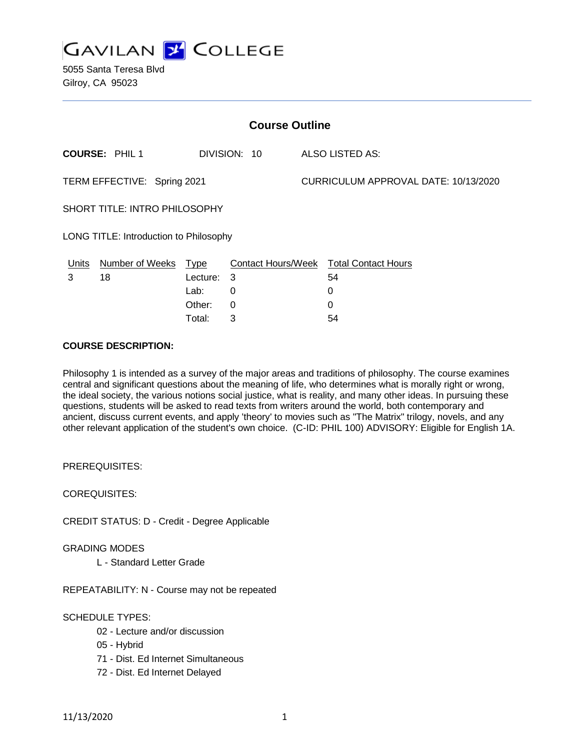

| <b>Course Outline</b>                  |                        |             |              |  |                                        |  |
|----------------------------------------|------------------------|-------------|--------------|--|----------------------------------------|--|
|                                        | <b>COURSE: PHIL 1</b>  |             | DIVISION: 10 |  | ALSO LISTED AS:                        |  |
| TERM EFFECTIVE: Spring 2021            |                        |             |              |  | CURRICULUM APPROVAL DATE: 10/13/2020   |  |
| <b>SHORT TITLE: INTRO PHILOSOPHY</b>   |                        |             |              |  |                                        |  |
| LONG TITLE: Introduction to Philosophy |                        |             |              |  |                                        |  |
| Units                                  | <b>Number of Weeks</b> | <u>Type</u> |              |  | Contact Hours/Week Total Contact Hours |  |
| 3                                      | 18                     | Lecture: 3  |              |  | 54                                     |  |
|                                        |                        | Lab:        | $\Omega$     |  | 0                                      |  |
|                                        |                        | Other:      | $\Omega$     |  | 0                                      |  |

Total: 3 54

### **COURSE DESCRIPTION:**

Philosophy 1 is intended as a survey of the major areas and traditions of philosophy. The course examines central and significant questions about the meaning of life, who determines what is morally right or wrong, the ideal society, the various notions social justice, what is reality, and many other ideas. In pursuing these questions, students will be asked to read texts from writers around the world, both contemporary and ancient, discuss current events, and apply 'theory' to movies such as "The Matrix" trilogy, novels, and any other relevant application of the student's own choice. (C-ID: PHIL 100) ADVISORY: Eligible for English 1A.

PREREQUISITES:

COREQUISITES:

CREDIT STATUS: D - Credit - Degree Applicable

GRADING MODES

L - Standard Letter Grade

REPEATABILITY: N - Course may not be repeated

# SCHEDULE TYPES:

- 02 Lecture and/or discussion
- 05 Hybrid
- 71 Dist. Ed Internet Simultaneous
- 72 Dist. Ed Internet Delayed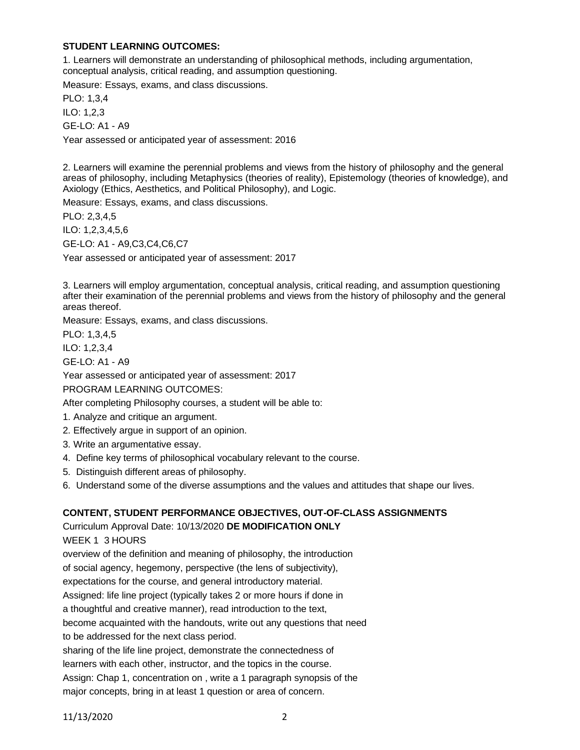## **STUDENT LEARNING OUTCOMES:**

1. Learners will demonstrate an understanding of philosophical methods, including argumentation, conceptual analysis, critical reading, and assumption questioning.

Measure: Essays, exams, and class discussions.

PLO: 1,3,4 ILO: 1,2,3 GE-LO: A1 - A9

Year assessed or anticipated year of assessment: 2016

2. Learners will examine the perennial problems and views from the history of philosophy and the general areas of philosophy, including Metaphysics (theories of reality), Epistemology (theories of knowledge), and Axiology (Ethics, Aesthetics, and Political Philosophy), and Logic.

Measure: Essays, exams, and class discussions.

PLO: 2,3,4,5 ILO: 1,2,3,4,5,6 GE-LO: A1 - A9,C3,C4,C6,C7 Year assessed or anticipated year of assessment: 2017

3. Learners will employ argumentation, conceptual analysis, critical reading, and assumption questioning after their examination of the perennial problems and views from the history of philosophy and the general areas thereof.

Measure: Essays, exams, and class discussions.

PLO: 1,3,4,5

ILO: 1,2,3,4

GE-LO: A1 - A9

Year assessed or anticipated year of assessment: 2017

PROGRAM LEARNING OUTCOMES:

After completing Philosophy courses, a student will be able to:

- 1. Analyze and critique an argument.
- 2. Effectively argue in support of an opinion.
- 3. Write an argumentative essay.
- 4. Define key terms of philosophical vocabulary relevant to the course.
- 5. Distinguish different areas of philosophy.
- 6. Understand some of the diverse assumptions and the values and attitudes that shape our lives.

# **CONTENT, STUDENT PERFORMANCE OBJECTIVES, OUT-OF-CLASS ASSIGNMENTS**

Curriculum Approval Date: 10/13/2020 **DE MODIFICATION ONLY**

WEEK 1 3 HOURS

overview of the definition and meaning of philosophy, the introduction of social agency, hegemony, perspective (the lens of subjectivity), expectations for the course, and general introductory material.

Assigned: life line project (typically takes 2 or more hours if done in

a thoughtful and creative manner), read introduction to the text,

become acquainted with the handouts, write out any questions that need

to be addressed for the next class period.

sharing of the life line project, demonstrate the connectedness of

learners with each other, instructor, and the topics in the course.

Assign: Chap 1, concentration on , write a 1 paragraph synopsis of the

major concepts, bring in at least 1 question or area of concern.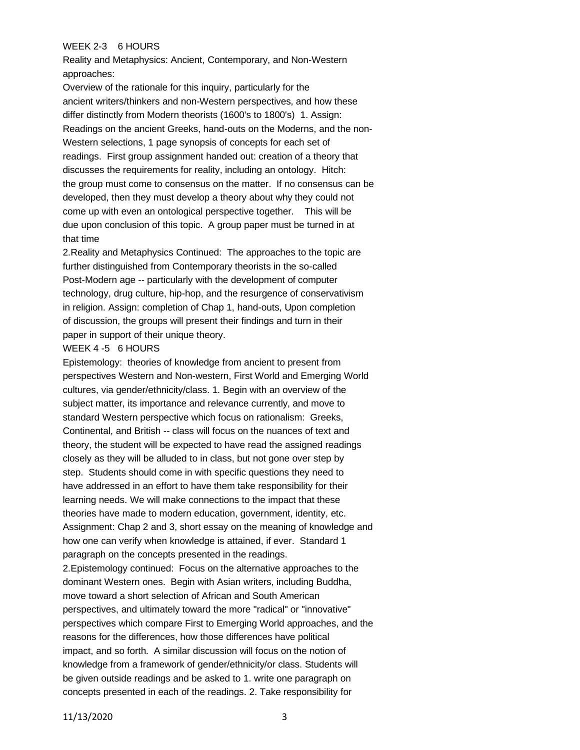### WEEK 2-3 6 HOURS

Reality and Metaphysics: Ancient, Contemporary, and Non-Western approaches:

Overview of the rationale for this inquiry, particularly for the ancient writers/thinkers and non-Western perspectives, and how these differ distinctly from Modern theorists (1600's to 1800's) 1. Assign: Readings on the ancient Greeks, hand-outs on the Moderns, and the non-Western selections, 1 page synopsis of concepts for each set of readings. First group assignment handed out: creation of a theory that discusses the requirements for reality, including an ontology. Hitch: the group must come to consensus on the matter. If no consensus can be developed, then they must develop a theory about why they could not come up with even an ontological perspective together. This will be due upon conclusion of this topic. A group paper must be turned in at that time

2.Reality and Metaphysics Continued: The approaches to the topic are further distinguished from Contemporary theorists in the so-called Post-Modern age -- particularly with the development of computer technology, drug culture, hip-hop, and the resurgence of conservativism in religion. Assign: completion of Chap 1, hand-outs, Upon completion of discussion, the groups will present their findings and turn in their paper in support of their unique theory.

#### WEEK 4 -5 6 HOURS

Epistemology: theories of knowledge from ancient to present from perspectives Western and Non-western, First World and Emerging World cultures, via gender/ethnicity/class. 1. Begin with an overview of the subject matter, its importance and relevance currently, and move to standard Western perspective which focus on rationalism: Greeks, Continental, and British -- class will focus on the nuances of text and theory, the student will be expected to have read the assigned readings closely as they will be alluded to in class, but not gone over step by step. Students should come in with specific questions they need to have addressed in an effort to have them take responsibility for their learning needs. We will make connections to the impact that these theories have made to modern education, government, identity, etc. Assignment: Chap 2 and 3, short essay on the meaning of knowledge and how one can verify when knowledge is attained, if ever. Standard 1 paragraph on the concepts presented in the readings.

2.Epistemology continued: Focus on the alternative approaches to the dominant Western ones. Begin with Asian writers, including Buddha, move toward a short selection of African and South American perspectives, and ultimately toward the more "radical" or "innovative" perspectives which compare First to Emerging World approaches, and the reasons for the differences, how those differences have political impact, and so forth. A similar discussion will focus on the notion of knowledge from a framework of gender/ethnicity/or class. Students will be given outside readings and be asked to 1. write one paragraph on concepts presented in each of the readings. 2. Take responsibility for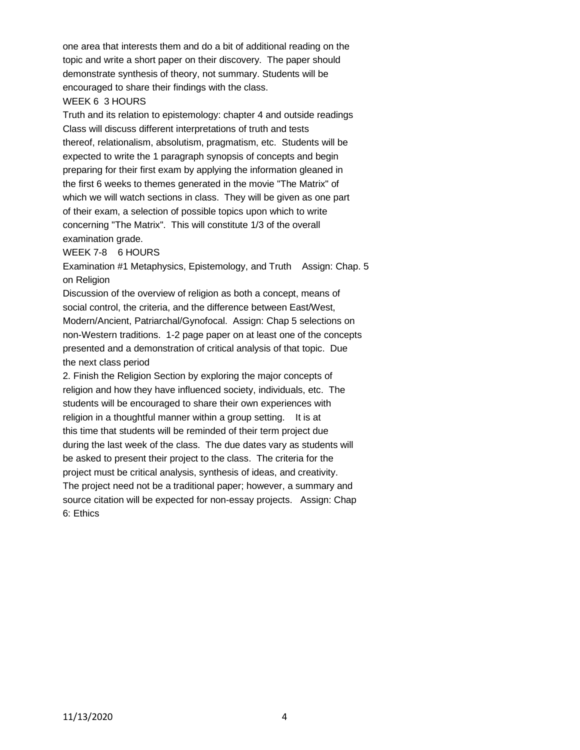one area that interests them and do a bit of additional reading on the topic and write a short paper on their discovery. The paper should demonstrate synthesis of theory, not summary. Students will be encouraged to share their findings with the class.

#### WEEK 6 3 HOURS

Truth and its relation to epistemology: chapter 4 and outside readings Class will discuss different interpretations of truth and tests thereof, relationalism, absolutism, pragmatism, etc. Students will be expected to write the 1 paragraph synopsis of concepts and begin preparing for their first exam by applying the information gleaned in the first 6 weeks to themes generated in the movie "The Matrix" of which we will watch sections in class. They will be given as one part of their exam, a selection of possible topics upon which to write concerning "The Matrix". This will constitute 1/3 of the overall examination grade.

WEEK 7-8 6 HOURS

Examination #1 Metaphysics, Epistemology, and Truth Assign: Chap. 5 on Religion

Discussion of the overview of religion as both a concept, means of social control, the criteria, and the difference between East/West, Modern/Ancient, Patriarchal/Gynofocal. Assign: Chap 5 selections on non-Western traditions. 1-2 page paper on at least one of the concepts presented and a demonstration of critical analysis of that topic. Due the next class period

2. Finish the Religion Section by exploring the major concepts of religion and how they have influenced society, individuals, etc. The students will be encouraged to share their own experiences with religion in a thoughtful manner within a group setting. It is at this time that students will be reminded of their term project due during the last week of the class. The due dates vary as students will be asked to present their project to the class. The criteria for the project must be critical analysis, synthesis of ideas, and creativity. The project need not be a traditional paper; however, a summary and source citation will be expected for non-essay projects. Assign: Chap 6: Ethics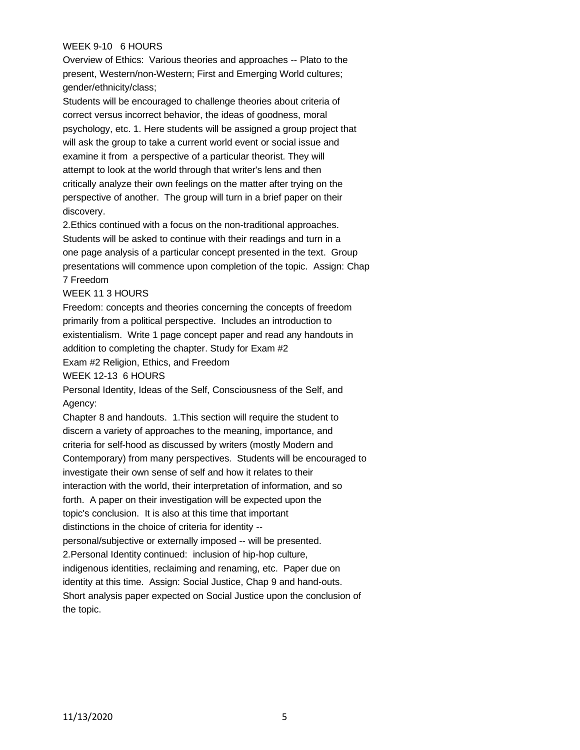## WEEK 9-10 6 HOURS

Overview of Ethics: Various theories and approaches -- Plato to the present, Western/non-Western; First and Emerging World cultures; gender/ethnicity/class;

Students will be encouraged to challenge theories about criteria of correct versus incorrect behavior, the ideas of goodness, moral psychology, etc. 1. Here students will be assigned a group project that will ask the group to take a current world event or social issue and examine it from a perspective of a particular theorist. They will attempt to look at the world through that writer's lens and then critically analyze their own feelings on the matter after trying on the perspective of another. The group will turn in a brief paper on their discovery.

2.Ethics continued with a focus on the non-traditional approaches. Students will be asked to continue with their readings and turn in a one page analysis of a particular concept presented in the text. Group presentations will commence upon completion of the topic. Assign: Chap 7 Freedom

#### WEEK 11 3 HOURS

Freedom: concepts and theories concerning the concepts of freedom primarily from a political perspective. Includes an introduction to existentialism. Write 1 page concept paper and read any handouts in addition to completing the chapter. Study for Exam #2

Exam #2 Religion, Ethics, and Freedom

WEEK 12-13 6 HOURS

Personal Identity, Ideas of the Self, Consciousness of the Self, and Agency:

Chapter 8 and handouts. 1.This section will require the student to discern a variety of approaches to the meaning, importance, and criteria for self-hood as discussed by writers (mostly Modern and Contemporary) from many perspectives. Students will be encouraged to investigate their own sense of self and how it relates to their interaction with the world, their interpretation of information, and so forth. A paper on their investigation will be expected upon the topic's conclusion. It is also at this time that important distinctions in the choice of criteria for identity - personal/subjective or externally imposed -- will be presented. 2.Personal Identity continued: inclusion of hip-hop culture, indigenous identities, reclaiming and renaming, etc. Paper due on identity at this time. Assign: Social Justice, Chap 9 and hand-outs. Short analysis paper expected on Social Justice upon the conclusion of the topic.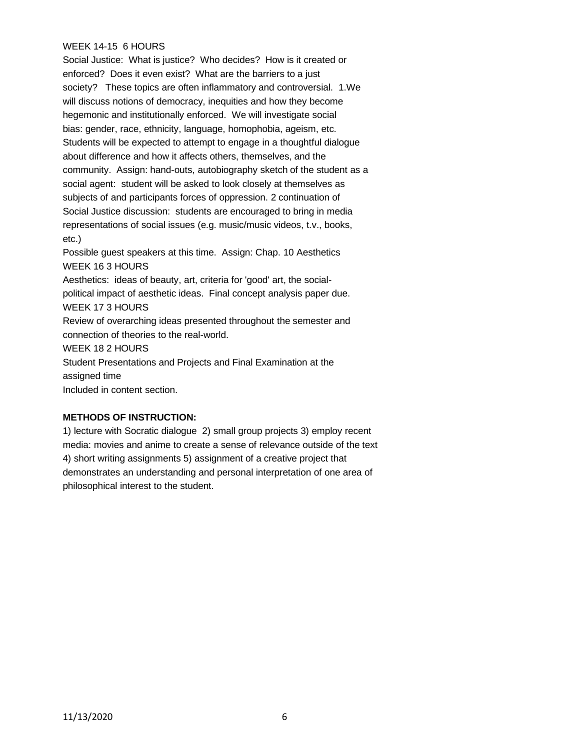### WEEK 14-15 6 HOURS

Social Justice: What is justice? Who decides? How is it created or enforced? Does it even exist? What are the barriers to a just society? These topics are often inflammatory and controversial. 1.We will discuss notions of democracy, inequities and how they become hegemonic and institutionally enforced. We will investigate social bias: gender, race, ethnicity, language, homophobia, ageism, etc. Students will be expected to attempt to engage in a thoughtful dialogue about difference and how it affects others, themselves, and the community. Assign: hand-outs, autobiography sketch of the student as a social agent: student will be asked to look closely at themselves as subjects of and participants forces of oppression. 2 continuation of Social Justice discussion: students are encouraged to bring in media representations of social issues (e.g. music/music videos, t.v., books, etc.)

Possible guest speakers at this time. Assign: Chap. 10 Aesthetics WEEK 16 3 HOURS Aesthetics: ideas of beauty, art, criteria for 'good' art, the socialpolitical impact of aesthetic ideas. Final concept analysis paper due. WEEK 17 3 HOURS Review of overarching ideas presented throughout the semester and connection of theories to the real-world. WEEK 18 2 HOURS Student Presentations and Projects and Final Examination at the assigned time

Included in content section.

# **METHODS OF INSTRUCTION:**

1) lecture with Socratic dialogue 2) small group projects 3) employ recent media: movies and anime to create a sense of relevance outside of the text 4) short writing assignments 5) assignment of a creative project that demonstrates an understanding and personal interpretation of one area of philosophical interest to the student.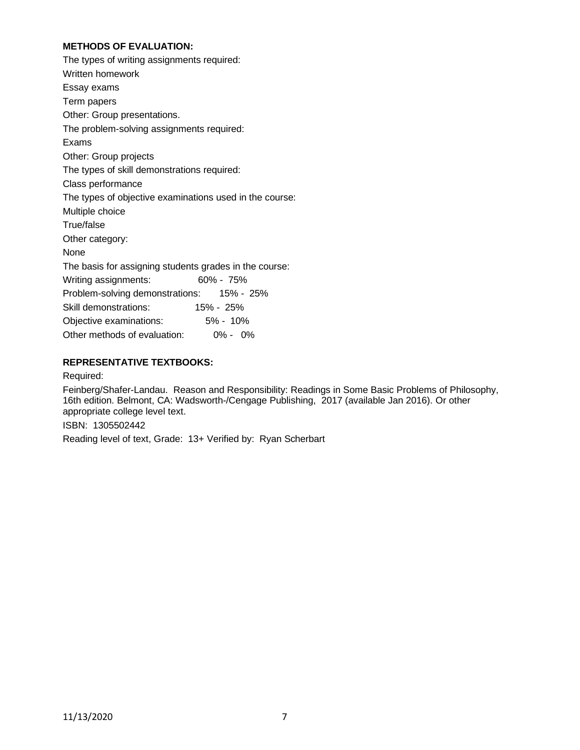# **METHODS OF EVALUATION:**

The types of writing assignments required: Written homework Essay exams Term papers Other: Group presentations. The problem-solving assignments required: Exams Other: Group projects The types of skill demonstrations required: Class performance The types of objective examinations used in the course: Multiple choice True/false Other category: None The basis for assigning students grades in the course: Writing assignments: 60% - 75% Problem-solving demonstrations: 15% - 25% Skill demonstrations: 15% - 25% Objective examinations: 5% - 10% Other methods of evaluation: 0% - 0%

# **REPRESENTATIVE TEXTBOOKS:**

Required:

Feinberg/Shafer-Landau. Reason and Responsibility: Readings in Some Basic Problems of Philosophy, 16th edition. Belmont, CA: Wadsworth-/Cengage Publishing, 2017 (available Jan 2016). Or other appropriate college level text.

ISBN: 1305502442

Reading level of text, Grade: 13+ Verified by: Ryan Scherbart